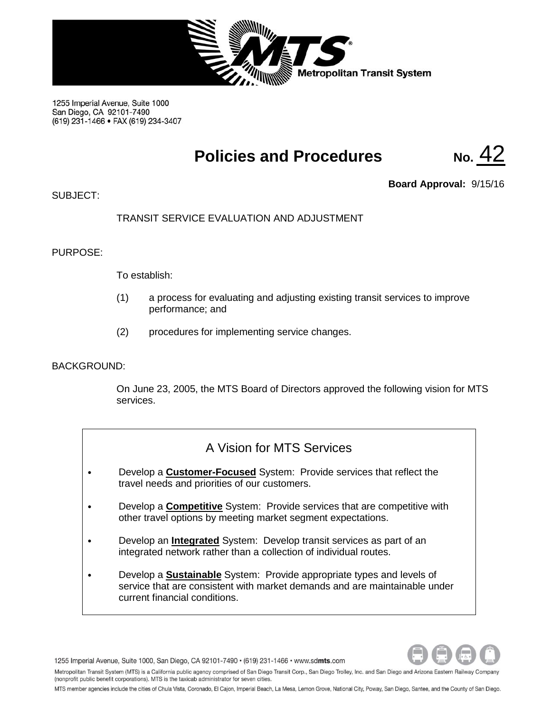

1255 Imperial Avenue, Suite 1000 San Diego, CA 92101-7490 (619) 231-1466 · FAX (619) 234-3407

# **Policies and Procedures No.** 42

 $SIJBJFCT$ 

**Board Approval:** 9/15/16

## TRANSIT SERVICE EVALUATION AND ADJUSTMENT

## PURPOSE:

To establish:

- (1) a process for evaluating and adjusting existing transit services to improve performance; and
- (2) procedures for implementing service changes.

## BACKGROUND:

On June 23, 2005, the MTS Board of Directors approved the following vision for MTS services.

## A Vision for MTS Services

- Develop a **Customer-Focused** System: Provide services that reflect the travel needs and priorities of our customers.
- Develop a **Competitive** System: Provide services that are competitive with other travel options by meeting market segment expectations.
- Develop an **Integrated** System: Develop transit services as part of an integrated network rather than a collection of individual routes.
- Develop a **Sustainable** System: Provide appropriate types and levels of service that are consistent with market demands and are maintainable under current financial conditions.



1255 Imperial Avenue, Suite 1000, San Diego, CA 92101-7490 · (619) 231-1466 · www.sdmts.com

Metropolitan Transit System (MTS) is a California public agency comprised of San Diego Transit Corp., San Diego Trolley, Inc. and San Diego and Arizona Eastern Railway Company (nonprofit public benefit corporations). MTS is the taxicab administrator for seven cities.

MTS member agencies include the cities of Chula Vista, Coronado, El Cajon, Imperial Beach, La Mesa, Lemon Grove, National City, Poway, San Diego, Santee, and the County of San Diego.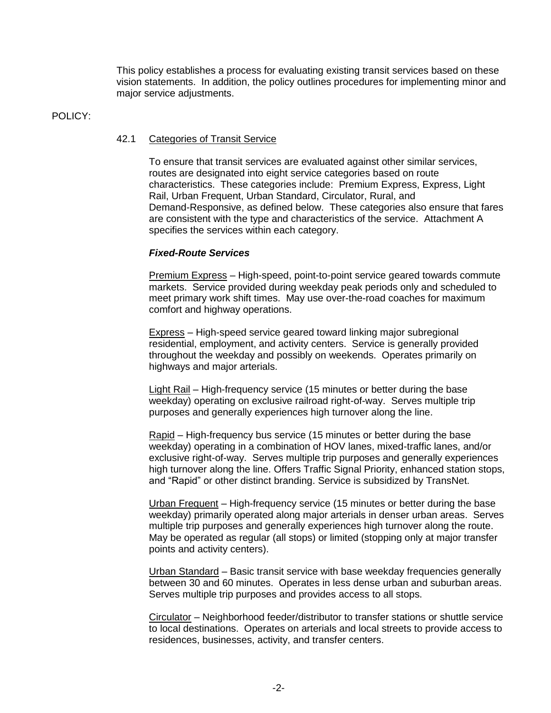This policy establishes a process for evaluating existing transit services based on these vision statements. In addition, the policy outlines procedures for implementing minor and major service adjustments.

#### POLICY:

### 42.1 Categories of Transit Service

To ensure that transit services are evaluated against other similar services, routes are designated into eight service categories based on route characteristics. These categories include: Premium Express, Express, Light Rail, Urban Frequent, Urban Standard, Circulator, Rural, and Demand-Responsive, as defined below. These categories also ensure that fares are consistent with the type and characteristics of the service. Attachment A specifies the services within each category.

## *Fixed-Route Services*

Premium Express – High-speed, point-to-point service geared towards commute markets. Service provided during weekday peak periods only and scheduled to meet primary work shift times. May use over-the-road coaches for maximum comfort and highway operations.

Express – High-speed service geared toward linking major subregional residential, employment, and activity centers. Service is generally provided throughout the weekday and possibly on weekends. Operates primarily on highways and major arterials.

Light Rail – High-frequency service (15 minutes or better during the base weekday) operating on exclusive railroad right-of-way. Serves multiple trip purposes and generally experiences high turnover along the line.

Rapid – High-frequency bus service (15 minutes or better during the base weekday) operating in a combination of HOV lanes, mixed-traffic lanes, and/or exclusive right-of-way. Serves multiple trip purposes and generally experiences high turnover along the line. Offers Traffic Signal Priority, enhanced station stops, and "Rapid" or other distinct branding. Service is subsidized by TransNet.

Urban Frequent – High-frequency service (15 minutes or better during the base weekday) primarily operated along major arterials in denser urban areas. Serves multiple trip purposes and generally experiences high turnover along the route. May be operated as regular (all stops) or limited (stopping only at major transfer points and activity centers).

Urban Standard – Basic transit service with base weekday frequencies generally between 30 and 60 minutes. Operates in less dense urban and suburban areas. Serves multiple trip purposes and provides access to all stops.

Circulator – Neighborhood feeder/distributor to transfer stations or shuttle service to local destinations. Operates on arterials and local streets to provide access to residences, businesses, activity, and transfer centers.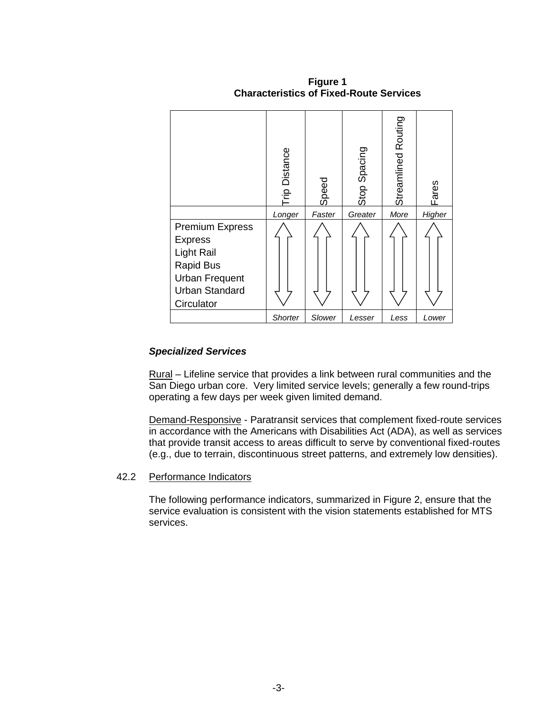|                                                                                                                                                   | ip Distance    | Speed  | Stop Spacing | Streamlined Routing | Fares  |  |
|---------------------------------------------------------------------------------------------------------------------------------------------------|----------------|--------|--------------|---------------------|--------|--|
|                                                                                                                                                   | Longer         | Faster | Greater      | More                | Higher |  |
| <b>Premium Express</b><br><b>Express</b><br><b>Light Rail</b><br><b>Rapid Bus</b><br><b>Urban Frequent</b><br><b>Urban Standard</b><br>Circulator |                |        |              |                     |        |  |
|                                                                                                                                                   | <b>Shorter</b> | Slower | Lesser       | Less                | Lower  |  |

**Figure 1 Characteristics of Fixed-Route Services**

## *Specialized Services*

Rural *–* Lifeline service that provides a link between rural communities and the San Diego urban core. Very limited service levels; generally a few round-trips operating a few days per week given limited demand.

Demand-Responsive - Paratransit services that complement fixed-route services in accordance with the Americans with Disabilities Act (ADA), as well as services that provide transit access to areas difficult to serve by conventional fixed-routes (e.g., due to terrain, discontinuous street patterns, and extremely low densities).

### 42.2 Performance Indicators

The following performance indicators, summarized in Figure 2, ensure that the service evaluation is consistent with the vision statements established for MTS services.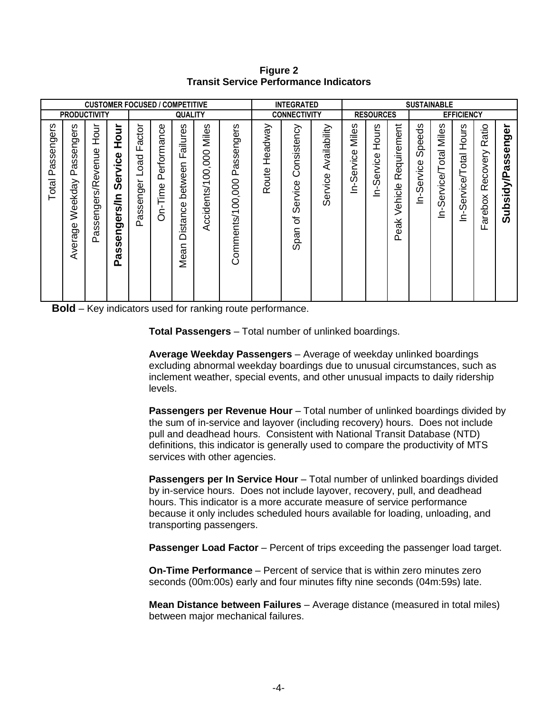**Figure 2 Transit Service Performance Indicators**

| <b>CUSTOMER FOCUSED / COMPETITIVE</b>                                          |                                                                                                |                                                                        |                                                       |                                                                                           |                                                                     |                                                                        | <b>INTEGRATED</b>              |                                           |                      |                                                 |                              | <b>SUSTAINABLE</b>                            |                                            |                                                |                                                                                          |                                                  |                                                    |                                                 |                                                                                         |
|--------------------------------------------------------------------------------|------------------------------------------------------------------------------------------------|------------------------------------------------------------------------|-------------------------------------------------------|-------------------------------------------------------------------------------------------|---------------------------------------------------------------------|------------------------------------------------------------------------|--------------------------------|-------------------------------------------|----------------------|-------------------------------------------------|------------------------------|-----------------------------------------------|--------------------------------------------|------------------------------------------------|------------------------------------------------------------------------------------------|--------------------------------------------------|----------------------------------------------------|-------------------------------------------------|-----------------------------------------------------------------------------------------|
|                                                                                | <b>PRODUCTIVITY</b>                                                                            |                                                                        |                                                       | <b>QUALITY</b>                                                                            |                                                                     |                                                                        | <b>CONNECTIVITY</b>            |                                           |                      | <b>RESOURCES</b>                                |                              |                                               |                                            |                                                | <b>EFFICIENCY</b>                                                                        |                                                  |                                                    |                                                 |                                                                                         |
| ngers<br>$\bar{\Phi}$<br>Ō<br><b>Ú)</b><br>$\tilde{\sigma}$<br>௳<br>–<br>Total | ၑၟ<br>Φ<br>Ō<br>$\subset$<br>Φ<br>Ō<br>ဖ<br>π<br>൨<br>⋋<br>ekday<br>≷ّ<br>Φ<br>ರಾ<br>vera<br>⋖ | Hour<br>enue<br>శ్<br>ers/R<br><b>Pue</b><br>S<br><b>vo</b><br>π<br>n. | Hour<br>Service<br>ร/ิท<br>engers<br>Ø<br>n<br>ω<br>൨ | actor<br>ய<br>Load<br>$\overline{\phantom{0}}$<br>isenger<br>Ö)<br>$\tilde{\sigma}$<br>Ö. | Φ<br>ĕ<br>rforma<br>$\overline{a}$<br>௳<br>jme<br>⊢<br>л.<br>Ċ<br>∩ | w<br>jure:<br>E<br>σ<br>ட<br>န<br>betwe<br>istance<br>≏<br>⊂<br>σ<br>Š | Miles<br>00,000<br>Accidents/1 | ngers<br>9S<br>ä<br>௳<br>Comments/100,000 | Headway<br>oute<br>œ | onsistency<br>ပ<br>rvice<br>Φ<br>Ō<br>৳<br>Span | Availability<br>Φ<br>Service | w<br>ق<br>آ⊠<br>Φ<br><b>DE</b><br>Φ<br>Ō<br>⊂ | ဖိ<br>—<br>Эр<br>Т<br>rvice<br>Φ<br>Ø<br>Ċ | quirement<br>Φ<br>$\propto$<br>Vehicle<br>Peak | eeds<br>$\Omega$<br>$\overline{O}$<br>Φ<br>$rac{5}{2}$<br>$\mathbf{\Phi}$<br>Ō<br>⊂<br>_ | w<br>il⊌<br>Mil<br>otal<br>rvice/<br>Φ<br>Ō<br>드 | Hours<br><b>Service/Total</b><br>$\mathbf{I}$<br>Ċ | Ratio<br>vovery<br>Ф<br>$\alpha$<br>arebox<br>ட | ត<br>ğ<br>$\mathbf{\Omega}$<br><b>in</b><br>ທ<br>ത<br>idy/P.<br><b>S</b><br>ف<br>5<br>ທ |

**Bold** – Key indicators used for ranking route performance.

**Total Passengers** – Total number of unlinked boardings.

**Average Weekday Passengers** – Average of weekday unlinked boardings excluding abnormal weekday boardings due to unusual circumstances, such as inclement weather, special events, and other unusual impacts to daily ridership levels.

**Passengers per Revenue Hour** – Total number of unlinked boardings divided by the sum of in-service and layover (including recovery) hours. Does not include pull and deadhead hours. Consistent with National Transit Database (NTD) definitions, this indicator is generally used to compare the productivity of MTS services with other agencies.

**Passengers per In Service Hour** – Total number of unlinked boardings divided by in-service hours. Does not include layover, recovery, pull, and deadhead hours. This indicator is a more accurate measure of service performance because it only includes scheduled hours available for loading, unloading, and transporting passengers.

**Passenger Load Factor** – Percent of trips exceeding the passenger load target.

**On-Time Performance** – Percent of service that is within zero minutes zero seconds (00m:00s) early and four minutes fifty nine seconds (04m:59s) late.

**Mean Distance between Failures** – Average distance (measured in total miles) between major mechanical failures.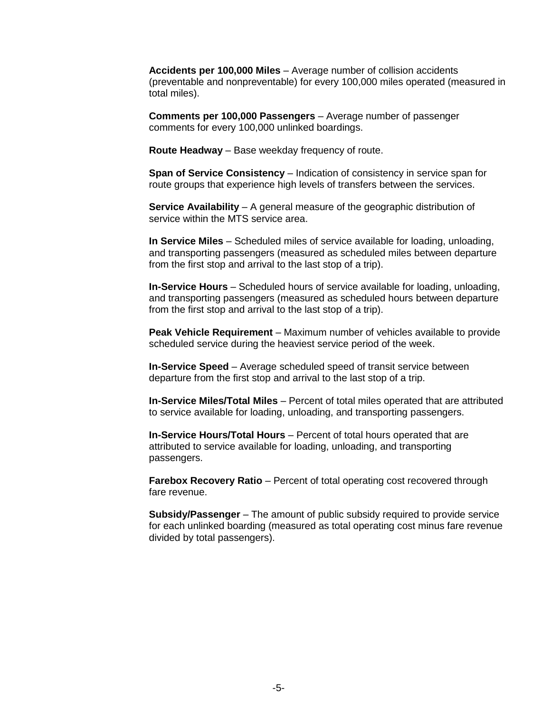**Accidents per 100,000 Miles** – Average number of collision accidents (preventable and nonpreventable) for every 100,000 miles operated (measured in total miles).

**Comments per 100,000 Passengers** – Average number of passenger comments for every 100,000 unlinked boardings.

**Route Headway** – Base weekday frequency of route.

**Span of Service Consistency** – Indication of consistency in service span for route groups that experience high levels of transfers between the services.

**Service Availability** – A general measure of the geographic distribution of service within the MTS service area.

**In Service Miles** – Scheduled miles of service available for loading, unloading, and transporting passengers (measured as scheduled miles between departure from the first stop and arrival to the last stop of a trip).

**In-Service Hours** – Scheduled hours of service available for loading, unloading, and transporting passengers (measured as scheduled hours between departure from the first stop and arrival to the last stop of a trip).

**Peak Vehicle Requirement** – Maximum number of vehicles available to provide scheduled service during the heaviest service period of the week.

**In-Service Speed** – Average scheduled speed of transit service between departure from the first stop and arrival to the last stop of a trip.

**In-Service Miles/Total Miles** – Percent of total miles operated that are attributed to service available for loading, unloading, and transporting passengers.

**In-Service Hours/Total Hours** – Percent of total hours operated that are attributed to service available for loading, unloading, and transporting passengers.

**Farebox Recovery Ratio** – Percent of total operating cost recovered through fare revenue.

**Subsidy/Passenger** – The amount of public subsidy required to provide service for each unlinked boarding (measured as total operating cost minus fare revenue divided by total passengers).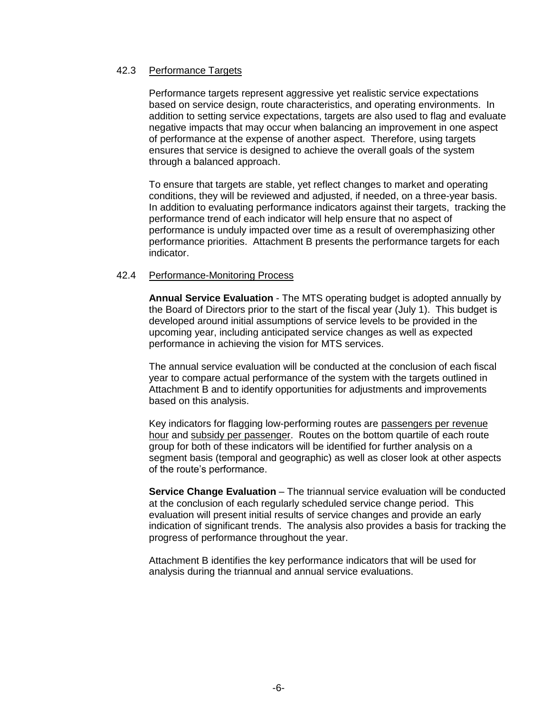## 42.3 Performance Targets

Performance targets represent aggressive yet realistic service expectations based on service design, route characteristics, and operating environments. In addition to setting service expectations, targets are also used to flag and evaluate negative impacts that may occur when balancing an improvement in one aspect of performance at the expense of another aspect. Therefore, using targets ensures that service is designed to achieve the overall goals of the system through a balanced approach.

To ensure that targets are stable, yet reflect changes to market and operating conditions, they will be reviewed and adjusted, if needed, on a three-year basis. In addition to evaluating performance indicators against their targets, tracking the performance trend of each indicator will help ensure that no aspect of performance is unduly impacted over time as a result of overemphasizing other performance priorities. Attachment B presents the performance targets for each indicator.

### 42.4 Performance-Monitoring Process

**Annual Service Evaluation** - The MTS operating budget is adopted annually by the Board of Directors prior to the start of the fiscal year (July 1). This budget is developed around initial assumptions of service levels to be provided in the upcoming year, including anticipated service changes as well as expected performance in achieving the vision for MTS services.

The annual service evaluation will be conducted at the conclusion of each fiscal year to compare actual performance of the system with the targets outlined in Attachment B and to identify opportunities for adjustments and improvements based on this analysis.

Key indicators for flagging low-performing routes are passengers per revenue hour and subsidy per passenger. Routes on the bottom quartile of each route group for both of these indicators will be identified for further analysis on a segment basis (temporal and geographic) as well as closer look at other aspects of the route's performance.

**Service Change Evaluation** – The triannual service evaluation will be conducted at the conclusion of each regularly scheduled service change period. This evaluation will present initial results of service changes and provide an early indication of significant trends. The analysis also provides a basis for tracking the progress of performance throughout the year.

Attachment B identifies the key performance indicators that will be used for analysis during the triannual and annual service evaluations.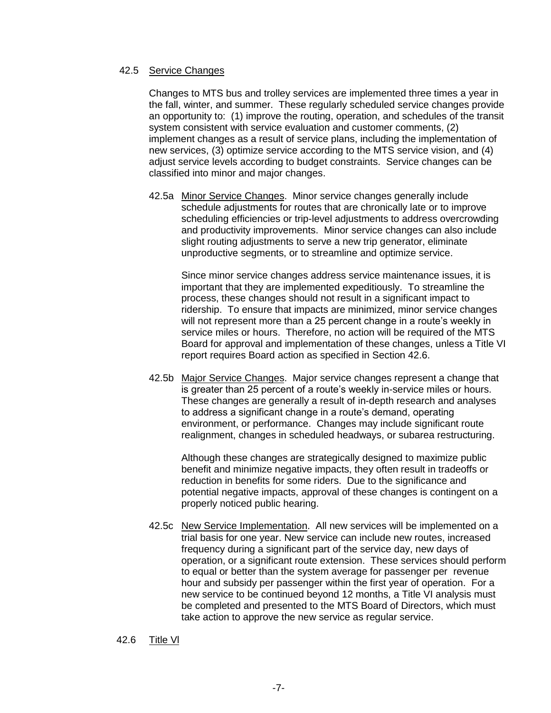#### 42.5 Service Changes

Changes to MTS bus and trolley services are implemented three times a year in the fall, winter, and summer. These regularly scheduled service changes provide an opportunity to: (1) improve the routing, operation, and schedules of the transit system consistent with service evaluation and customer comments, (2) implement changes as a result of service plans, including the implementation of new services, (3) optimize service according to the MTS service vision, and (4) adjust service levels according to budget constraints. Service changes can be classified into minor and major changes.

42.5a Minor Service Changes. Minor service changes generally include schedule adjustments for routes that are chronically late or to improve scheduling efficiencies or trip-level adjustments to address overcrowding and productivity improvements. Minor service changes can also include slight routing adjustments to serve a new trip generator, eliminate unproductive segments, or to streamline and optimize service.

Since minor service changes address service maintenance issues, it is important that they are implemented expeditiously. To streamline the process, these changes should not result in a significant impact to ridership. To ensure that impacts are minimized, minor service changes will not represent more than a 25 percent change in a route's weekly in service miles or hours. Therefore, no action will be required of the MTS Board for approval and implementation of these changes, unless a Title VI report requires Board action as specified in Section 42.6.

42.5b Major Service Changes. Major service changes represent a change that is greater than 25 percent of a route's weekly in-service miles or hours. These changes are generally a result of in-depth research and analyses to address a significant change in a route's demand, operating environment, or performance. Changes may include significant route realignment, changes in scheduled headways, or subarea restructuring.

Although these changes are strategically designed to maximize public benefit and minimize negative impacts, they often result in tradeoffs or reduction in benefits for some riders. Due to the significance and potential negative impacts, approval of these changes is contingent on a properly noticed public hearing.

42.5c New Service Implementation. All new services will be implemented on a trial basis for one year. New service can include new routes, increased frequency during a significant part of the service day, new days of operation, or a significant route extension. These services should perform to equal or better than the system average for passenger per revenue hour and subsidy per passenger within the first year of operation. For a new service to be continued beyond 12 months, a Title VI analysis must be completed and presented to the MTS Board of Directors, which must take action to approve the new service as regular service.

#### 42.6 Title Vl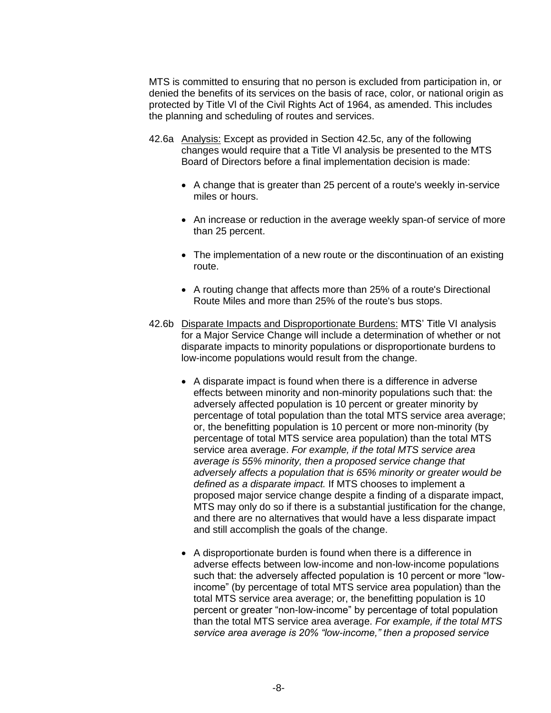MTS is committed to ensuring that no person is excluded from participation in, or denied the benefits of its services on the basis of race, color, or national origin as protected by Title Vl of the Civil Rights Act of 1964, as amended. This includes the planning and scheduling of routes and services.

- 42.6a Analysis: Except as provided in Section 42.5c, any of the following changes would require that a Title Vl analysis be presented to the MTS Board of Directors before a final implementation decision is made:
	- A change that is greater than 25 percent of a route's weekly in-service miles or hours.
	- An increase or reduction in the average weekly span-of service of more than 25 percent.
	- The implementation of a new route or the discontinuation of an existing route.
	- A routing change that affects more than 25% of a route's Directional Route Miles and more than 25% of the route's bus stops.
- 42.6b Disparate Impacts and Disproportionate Burdens: MTS' Title VI analysis for a Major Service Change will include a determination of whether or not disparate impacts to minority populations or disproportionate burdens to low-income populations would result from the change.
	- A disparate impact is found when there is a difference in adverse effects between minority and non-minority populations such that: the adversely affected population is 10 percent or greater minority by percentage of total population than the total MTS service area average; or, the benefitting population is 10 percent or more non-minority (by percentage of total MTS service area population) than the total MTS service area average. *For example, if the total MTS service area average is 55% minority, then a proposed service change that adversely affects a population that is 65% minority or greater would be defined as a disparate impact.* If MTS chooses to implement a proposed major service change despite a finding of a disparate impact, MTS may only do so if there is a substantial justification for the change, and there are no alternatives that would have a less disparate impact and still accomplish the goals of the change.
	- A disproportionate burden is found when there is a difference in adverse effects between low-income and non-low-income populations such that: the adversely affected population is 10 percent or more "lowincome" (by percentage of total MTS service area population) than the total MTS service area average; or, the benefitting population is 10 percent or greater "non-low-income" by percentage of total population than the total MTS service area average. *For example, if the total MTS service area average is 20% "low-income," then a proposed service*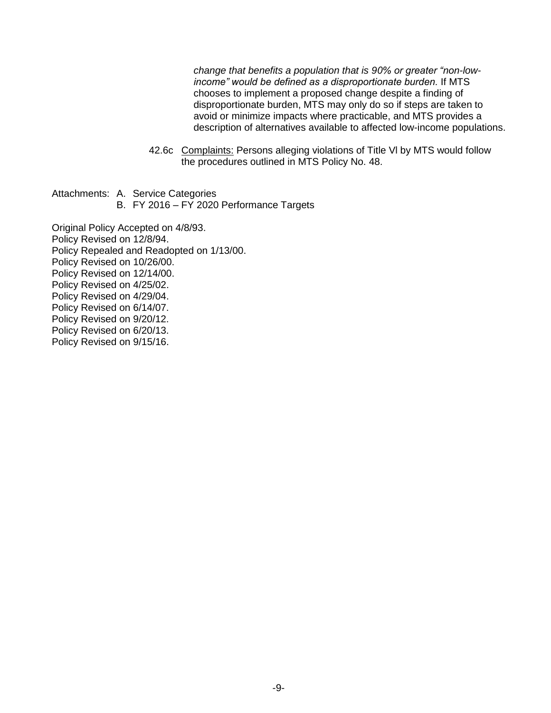*change that benefits a population that is 90% or greater "non-lowincome" would be defined as a disproportionate burden.* If MTS chooses to implement a proposed change despite a finding of disproportionate burden, MTS may only do so if steps are taken to avoid or minimize impacts where practicable, and MTS provides a description of alternatives available to affected low-income populations.

- 42.6c Complaints: Persons alleging violations of Title Vl by MTS would follow the procedures outlined in MTS Policy No. 48.
- Attachments: A. Service Categories
	- B. FY 2016 FY 2020 Performance Targets

Original Policy Accepted on 4/8/93. Policy Revised on 12/8/94. Policy Repealed and Readopted on 1/13/00. Policy Revised on 10/26/00. Policy Revised on 12/14/00. Policy Revised on 4/25/02. Policy Revised on 4/29/04. Policy Revised on 6/14/07. Policy Revised on 9/20/12. Policy Revised on 6/20/13. Policy Revised on 9/15/16.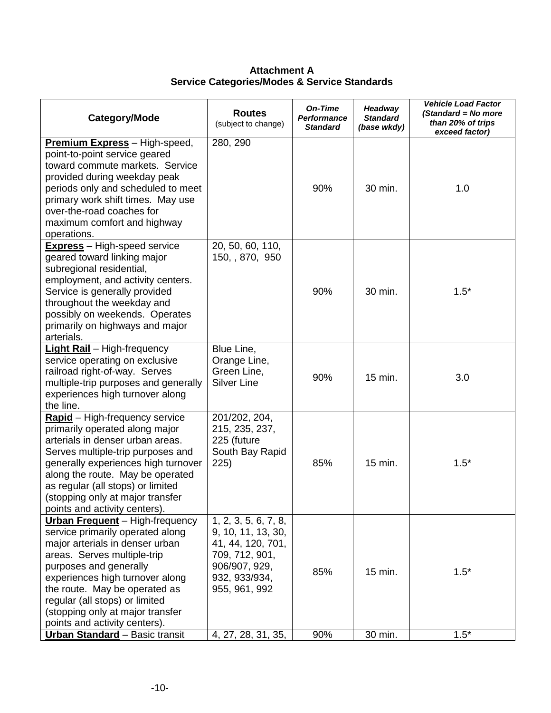**Attachment A Service Categories/Modes & Service Standards**

| 280, 290<br><b>Premium Express</b> - High-speed,<br>point-to-point service geared<br>toward commute markets. Service<br>provided during weekday peak<br>90%<br>1.0<br>periods only and scheduled to meet<br>30 min.<br>primary work shift times. May use<br>over-the-road coaches for<br>maximum comfort and highway<br>operations.<br>20, 50, 60, 110,<br><b>Express</b> - High-speed service<br>150, , 870, 950<br>geared toward linking major<br>subregional residential,<br>employment, and activity centers.<br>$1.5*$<br>Service is generally provided<br>90%<br>30 min.<br>throughout the weekday and<br>possibly on weekends. Operates<br>primarily on highways and major<br>arterials.<br><b>Light Rail</b> - High-frequency<br>Blue Line,<br>service operating on exclusive<br>Orange Line,<br>Green Line,<br>railroad right-of-way. Serves<br>90%<br>15 min.<br>3.0<br><b>Silver Line</b><br>multiple-trip purposes and generally<br>experiences high turnover along<br>the line.<br>201/202, 204,<br>Rapid - High-frequency service<br>primarily operated along major<br>215, 235, 237,<br>arterials in denser urban areas.<br>225 (future<br>South Bay Rapid<br>Serves multiple-trip purposes and<br>generally experiences high turnover<br>225)<br>85%<br>15 min.<br>$1.5*$<br>along the route. May be operated<br>as regular (all stops) or limited<br>(stopping only at major transfer<br>points and activity centers).<br><b>Urban Frequent</b> - High-frequency<br>1, 2, 3, 5, 6, 7, 8,<br>service primarily operated along<br>9, 10, 11, 13, 30,<br>major arterials in denser urban<br>41, 44, 120, 701,<br>areas. Serves multiple-trip<br>709, 712, 901,<br>906/907, 929,<br>purposes and generally<br>85%<br>15 min.<br>$1.5*$<br>experiences high turnover along<br>932, 933/934,<br>the route. May be operated as<br>955, 961, 992<br>regular (all stops) or limited<br>(stopping only at major transfer | Category/Mode | <b>Routes</b><br>(subject to change) | On-Time<br><b>Performance</b><br><b>Standard</b> | Headway<br><b>Standard</b><br>(base wkdy) | <b>Vehicle Load Factor</b><br>(Standard = No more<br>than 20% of trips<br>exceed factor) |
|---------------------------------------------------------------------------------------------------------------------------------------------------------------------------------------------------------------------------------------------------------------------------------------------------------------------------------------------------------------------------------------------------------------------------------------------------------------------------------------------------------------------------------------------------------------------------------------------------------------------------------------------------------------------------------------------------------------------------------------------------------------------------------------------------------------------------------------------------------------------------------------------------------------------------------------------------------------------------------------------------------------------------------------------------------------------------------------------------------------------------------------------------------------------------------------------------------------------------------------------------------------------------------------------------------------------------------------------------------------------------------------------------------------------------------------------------------------------------------------------------------------------------------------------------------------------------------------------------------------------------------------------------------------------------------------------------------------------------------------------------------------------------------------------------------------------------------------------------------------------------------------------------------------------------------|---------------|--------------------------------------|--------------------------------------------------|-------------------------------------------|------------------------------------------------------------------------------------------|
|                                                                                                                                                                                                                                                                                                                                                                                                                                                                                                                                                                                                                                                                                                                                                                                                                                                                                                                                                                                                                                                                                                                                                                                                                                                                                                                                                                                                                                                                                                                                                                                                                                                                                                                                                                                                                                                                                                                                 |               |                                      |                                                  |                                           |                                                                                          |
|                                                                                                                                                                                                                                                                                                                                                                                                                                                                                                                                                                                                                                                                                                                                                                                                                                                                                                                                                                                                                                                                                                                                                                                                                                                                                                                                                                                                                                                                                                                                                                                                                                                                                                                                                                                                                                                                                                                                 |               |                                      |                                                  |                                           |                                                                                          |
|                                                                                                                                                                                                                                                                                                                                                                                                                                                                                                                                                                                                                                                                                                                                                                                                                                                                                                                                                                                                                                                                                                                                                                                                                                                                                                                                                                                                                                                                                                                                                                                                                                                                                                                                                                                                                                                                                                                                 |               |                                      |                                                  |                                           |                                                                                          |
|                                                                                                                                                                                                                                                                                                                                                                                                                                                                                                                                                                                                                                                                                                                                                                                                                                                                                                                                                                                                                                                                                                                                                                                                                                                                                                                                                                                                                                                                                                                                                                                                                                                                                                                                                                                                                                                                                                                                 |               |                                      |                                                  |                                           |                                                                                          |
| points and activity centers).<br><b>Urban Standard - Basic transit</b><br>4, 27, 28, 31, 35,<br>90%<br>$1.5*$<br>30 min.                                                                                                                                                                                                                                                                                                                                                                                                                                                                                                                                                                                                                                                                                                                                                                                                                                                                                                                                                                                                                                                                                                                                                                                                                                                                                                                                                                                                                                                                                                                                                                                                                                                                                                                                                                                                        |               |                                      |                                                  |                                           |                                                                                          |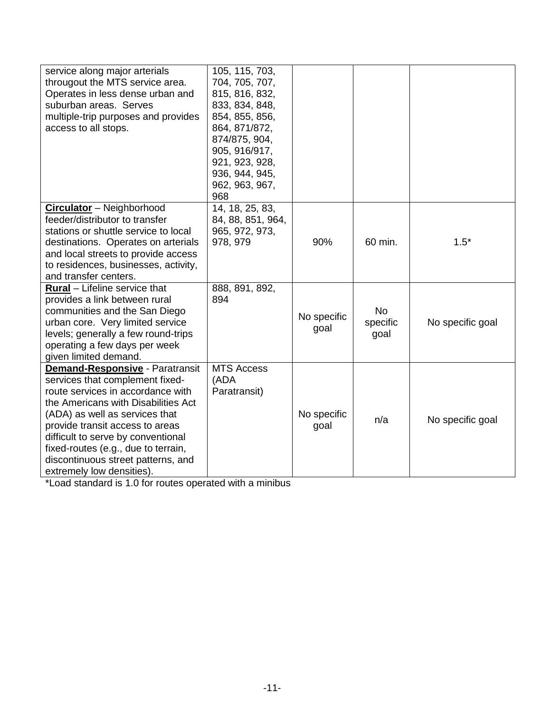| service along major arterials<br>througout the MTS service area.<br>Operates in less dense urban and<br>suburban areas. Serves<br>multiple-trip purposes and provides<br>access to all stops.                                                                                                                                                                              | 105, 115, 703,<br>704, 705, 707,<br>815, 816, 832,<br>833, 834, 848,<br>854, 855, 856,<br>864, 871/872,<br>874/875, 904,<br>905, 916/917,<br>921, 923, 928,<br>936, 944, 945, |                     |                               |                  |
|----------------------------------------------------------------------------------------------------------------------------------------------------------------------------------------------------------------------------------------------------------------------------------------------------------------------------------------------------------------------------|-------------------------------------------------------------------------------------------------------------------------------------------------------------------------------|---------------------|-------------------------------|------------------|
|                                                                                                                                                                                                                                                                                                                                                                            | 962, 963, 967,<br>968                                                                                                                                                         |                     |                               |                  |
| <b>Circulator</b> - Neighborhood<br>feeder/distributor to transfer<br>stations or shuttle service to local<br>destinations. Operates on arterials<br>and local streets to provide access<br>to residences, businesses, activity,<br>and transfer centers.                                                                                                                  | 14, 18, 25, 83,<br>84, 88, 851, 964,<br>965, 972, 973,<br>978, 979                                                                                                            | 90%                 | 60 min.                       | $1.5*$           |
| <b>Rural</b> - Lifeline service that<br>provides a link between rural<br>communities and the San Diego<br>urban core. Very limited service<br>levels; generally a few round-trips<br>operating a few days per week<br>given limited demand.                                                                                                                                | 888, 891, 892,<br>894                                                                                                                                                         | No specific<br>goal | <b>No</b><br>specific<br>goal | No specific goal |
| <b>Demand-Responsive - Paratransit</b><br>services that complement fixed-<br>route services in accordance with<br>the Americans with Disabilities Act<br>(ADA) as well as services that<br>provide transit access to areas<br>difficult to serve by conventional<br>fixed-routes (e.g., due to terrain,<br>discontinuous street patterns, and<br>extremely low densities). | <b>MTS Access</b><br>(ADA<br>Paratransit)                                                                                                                                     | No specific<br>goal | n/a                           | No specific goal |

\*Load standard is 1.0 for routes operated with a minibus